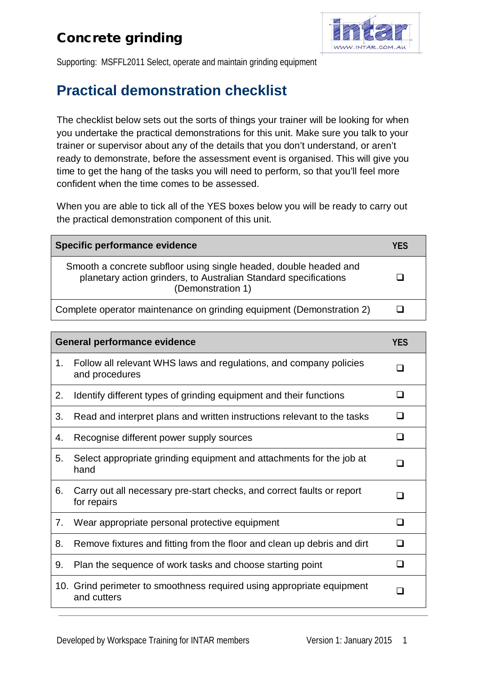## Concrete grinding



Supporting: MSFFL2011 Select, operate and maintain grinding equipment

## **Practical demonstration checklist**

The checklist below sets out the sorts of things your trainer will be looking for when you undertake the practical demonstrations for this unit. Make sure you talk to your trainer or supervisor about any of the details that you don't understand, or aren't ready to demonstrate, before the assessment event is organised. This will give you time to get the hang of the tasks you will need to perform, so that you'll feel more confident when the time comes to be assessed.

When you are able to tick all of the YES boxes below you will be ready to carry out the practical demonstration component of this unit.

| Specific performance evidence                                                                                                                              | YFS |
|------------------------------------------------------------------------------------------------------------------------------------------------------------|-----|
| Smooth a concrete subfloor using single headed, double headed and<br>planetary action grinders, to Australian Standard specifications<br>(Demonstration 1) |     |
| Complete operator maintenance on grinding equipment (Demonstration 2)                                                                                      |     |

|     | <b>General performance evidence</b>                                                   | <b>YES</b> |
|-----|---------------------------------------------------------------------------------------|------------|
| 1.  | Follow all relevant WHS laws and regulations, and company policies<br>and procedures  |            |
| 2.  | Identify different types of grinding equipment and their functions                    | n          |
| 3.  | Read and interpret plans and written instructions relevant to the tasks               |            |
| 4.  | Recognise different power supply sources                                              | ı          |
| 5.  | Select appropriate grinding equipment and attachments for the job at<br>hand          | - 1        |
| 6.  | Carry out all necessary pre-start checks, and correct faults or report<br>for repairs |            |
| 7.  | Wear appropriate personal protective equipment                                        | □          |
| 8.  | Remove fixtures and fitting from the floor and clean up debris and dirt               | n          |
| 9.  | Plan the sequence of work tasks and choose starting point                             | - 1        |
| 10. | Grind perimeter to smoothness required using appropriate equipment<br>and cutters     | ┒          |